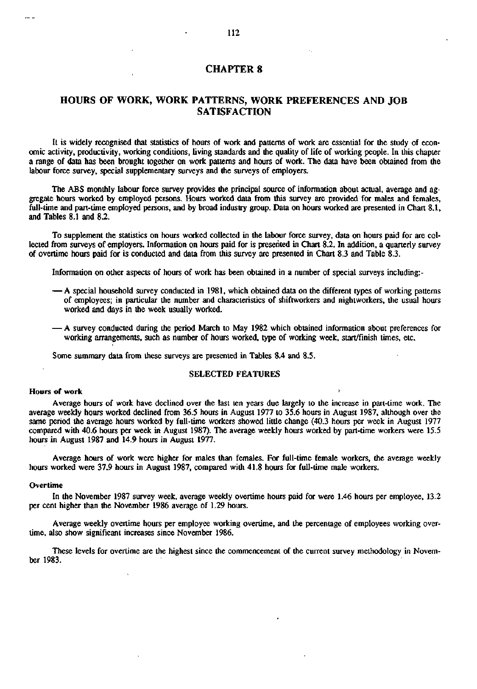# **CHAPTER 8**

# **HOURS OF WORK, WORK PATTERNS, WORK PREFERENCES AND JOB SATISFACTION**

It is widely recognised that statistics of hours of work and patterns of work are essential for the study of economic activity, productivity, working conditions, living standards and the quality of life of working people. In this chapter a range of data has been brought together on work patterns and hours of work. The data have been obtained from the labour force survey, special supplementary surveys and the surveys of employers.

The ABS monthly labour force survey provides the principal source of information about actual, average and aggregate hours worked by employed persons. Hours worked data from this survey are provided for males and females, full-time and part-time employed persons, and by broad industry group. Data on hours worked are presented in Chart 8.1, and Tables 8.1 and 8.2.

To supplement the statistics on hours worked collected in the labour force survey, data on hours paid for are collected from surveys of employers. Information on hours paid for is presented in Chart 8.2. In addition, a quarterly survey of overtime hours paid for is conducted and data from this survey are presented in Chart 8.3 and Table 8.3.

Information on other aspects of hours of work has been obtained in a number of special surveys including: -

- A special household survey conducted in 1981, which obtained data on the different types of working patterns of employees; in particular the number and characteristics of shiftworkers and nightworkers, the usual hours worked and days in the week usually worked.
- A survey conducted during the period March to May 1982 which obtained information about preferences for working arrangements, such as number of hours worked, type of working week, start/finish times, etc.

Some summary data from these surveys are presented in Tables 8.4 and 8.5.

## SELECTED FEATURES

## Hours of work

Average hours of work have declined over the last ten years due largely to the increase in part-time work. The average weekly hours worked declined from 36.5 hours in August 1977 to 35.6 hours in August 1987, although over the same period the average hours worked by full-time workers showed little change (40.3 hours per week in August 1977 compared with 40.6 hours per week in August 1987). The average weekly hours worked by part-time workers were 15.5 hours in August 1987 and 14.9 hours in August 1977.

Average hours of work were higher for males than females. For full-time female workers, the average weekly hours worked were 37.9 hours in August 1987, compared with 41.8 hours for full-time male workers.

#### Overtime

In the November 1987 survey week, average weekly overtime hours paid for were 1.46 hours per employee, 13.2 per cent higher than the November 1986 average of 1.29 hours.

Average weekly overtime hours per employee working overtime, and the percentage of employees working overtime, also show significant increases since November 1986.

These levels for overtime are the highest since the commencement of the current survey methodology in November 1983.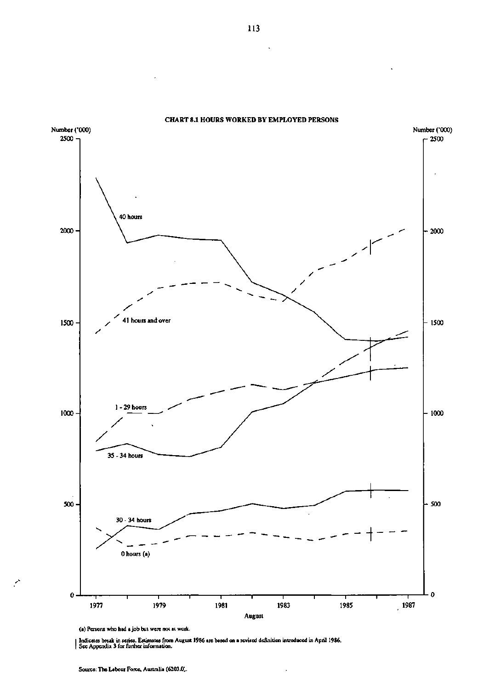

**CHART 8.1 HOURS WORKED BY EMPLOYED PERSONS** 

(a) Persons who had a job but were not at work.

Indicates break in series. Estimates from August 19S6 are based on a revised definition introduced in April 1986. See Appendix 3 for further information.

 $\ddot{\phantom{0}}$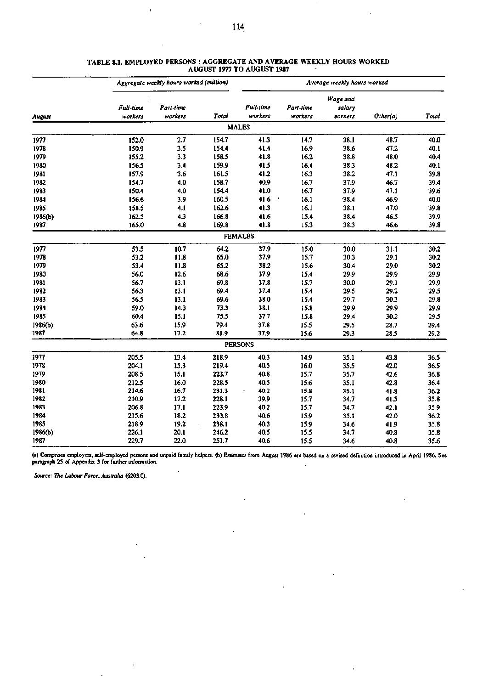|         | Aggregate weekly hours worked (million) | Average weekly hours worked |       |                      |                      |                               |          |       |
|---------|-----------------------------------------|-----------------------------|-------|----------------------|----------------------|-------------------------------|----------|-------|
| August  | Full-time<br>workers                    | Part-time<br>workers        | Total | Full-time<br>workers | Part-time<br>workers | Wage and<br>salary<br>earners | Other(a) | Total |
|         |                                         |                             |       | <b>MALES</b>         |                      |                               |          |       |
| 1977    | 152.0                                   | 2.7                         | 154.7 | 41.3                 | 14.7                 | 38.1                          | 48.7     | 40.0  |
| 1978    | 150.9                                   | 3.5                         | 154.4 | 41.4                 | 16.9                 | 38.6                          | 47.2     | 40.1  |
| 1979    | 155.2                                   | 3.3                         | 158.5 | 41.8                 | 16.2                 | 38.8                          | 48.0     | 40.4  |
| 1980    | 156.5                                   | 3.4                         | 159.9 | 41.5                 | 16.4                 | 38.3                          | 48.2     | 40.1  |
| 1981    | 157.9                                   | 3.6                         | 161.5 | 41.2                 | 16.3                 | 38.2                          | 47.1     | 39.8  |
| 1982    | 154.7                                   | 4.0                         | 158.7 | 40.9                 | 16.7                 | 37.9                          | 46.7     | 39.4  |
| 1983    | 150.4                                   | 4.0                         | 154.4 | 41.0                 | 16.7                 | 37.9                          | 47.1     | 39.6  |
| 1984    | 156.6                                   | 3.9                         | 160.5 | 41.6                 | 16.1                 | 38.4                          | 46.9     | 40.0  |
| 1985    | 158.5                                   | 4.1                         | 162.6 | 41.3                 | 16.1                 | 38.1                          | 47.0     | 39.8  |
| 1986(b) | 162.5                                   | 4.3                         | 166.8 | 41.6                 | 15.4                 | 38.4                          | 46.5     | 39.9  |
| 1987    | 165.0                                   | 4.8                         | 169.8 | 41.8                 | 15.3                 | 38.3                          | 46.6     | 39.8  |
|         |                                         |                             |       | <b>FEMALES</b>       |                      |                               |          |       |
| 1977    | 53.5                                    | 10.7                        | 64.2  | 37.9                 | 15.0                 | 30.0                          | 31.1     | 30.2  |
| 1978    | 53.2                                    | 11.8                        | 65.0  | 37.9                 | 15.7                 | 30.3                          | 29.1     | 30.2  |
| 1979    | 53.4                                    | 11.8                        | 65.2  | 38.2                 | 15.6                 | 30.4                          | 29.0     | 30.2  |
| 1980    | 56.0                                    | 12.6                        | 68.6  | 37.9                 | 15.4                 | 29.9                          | 29.9     | 29.9  |
| 1981    | 56.7                                    | 13.1                        | 69.8  | 37.8                 | 15.7                 | 30.0                          | 29.1     | 29.9  |
| 1982    | 56.3                                    | 13.1                        | 69.4  | 37.4                 | 15.4                 | 29.5                          | 29.2     | 29.5  |
| 1983    | 56.5                                    | 13.1                        | 69.6  | 38.0                 | 15.4                 | 29.7                          | 30.3     | 29.8  |
| 1984    | 59.0                                    | 14.3                        | 73.3  | 38.1                 | 15.8                 | 29.9                          | 29.9     | 29.9  |
| 1985    | 60.4                                    | 15.1                        | 75.5  | 37.7                 | 15.8                 | 29.4                          | 30.2     | 29.5  |
| 1986(b) | 63.6                                    | 15.9                        | 79.4  | 37.8                 | 15.5                 | 29.5                          | 28.7     | 29.4  |
| 1987    | 64.8                                    | 17.2                        | 81.9  | 37.9                 | 15.6                 | 29.3                          | 28.5     | 29.2  |
|         |                                         |                             |       | <b>PERSONS</b>       |                      |                               |          |       |
| 1977    | 205.5                                   | 13.4                        | 218.9 | 40.3                 | 14.9                 | 35.1                          | 43.8     | 36.5  |
| 1978    | 204.1                                   | 15.3                        | 219.4 | 40.5                 | 16.0                 | 35.5                          | 42.0     | 36.5  |
| 1979    | 208.5                                   | 15.1                        | 223.7 | 40.8                 | 15.7                 | 35.7                          | 42.6     | 36.8  |
| 1980    | 212.5                                   | 16.0                        | 228.5 | 40.5                 | 15.6                 | 35.1                          | 42.8     | 36.4  |
| 1981    | 214.6                                   | 16.7                        | 231.3 | 40.2                 | 15.8                 | 35.1                          | 41.8     | 36.2  |
| 1982    | 210.9                                   | 17.2                        | 228.1 | 39.9                 | 15.7                 | 34.7                          | 41.5     | 35.8  |
| 1983    | 206.8                                   | 17.1                        | 223.9 | 40.2                 | 15.7                 | 34.7                          | 42.1     | 35.9  |
| 1984    | 215.6                                   | 18.2                        | 233.8 | 40.6                 | 15.9                 | 35.1                          | 42.0     | 36.2  |
| 1985    | 218.9                                   | 19.2                        | 238.1 | 40.3                 | 15.9                 | 34.6                          | 41.9     | 35.8  |
| 1986(b) | 226.1                                   | 20.1                        | 246.2 | 40.5                 | 15.5                 | 34.7                          | 40.8     | 35.8  |
| 1987    | 229.7                                   | 22.0                        | 251.7 | 40.6                 | 15.5                 | 34.6                          | 40.8     | 35.6  |

#### **TABLE 8.1. EMPLOYED PERSONS : AGGREGATE AND AVERAGE WEEKLY HOURS WORKED AUGUST 1977 TO AUGUST 1987**

**(a) Comprises employers, self-employed persons and unpaid family helpers, (b) Estimates from August 1986 aie based on a revised definition introduced in April 1986. See paragraph 25 of Appendix 3 for further information.** 

*Source: The Labour Force. Australia* **(6203.0).** 

 $\bar{\Gamma}$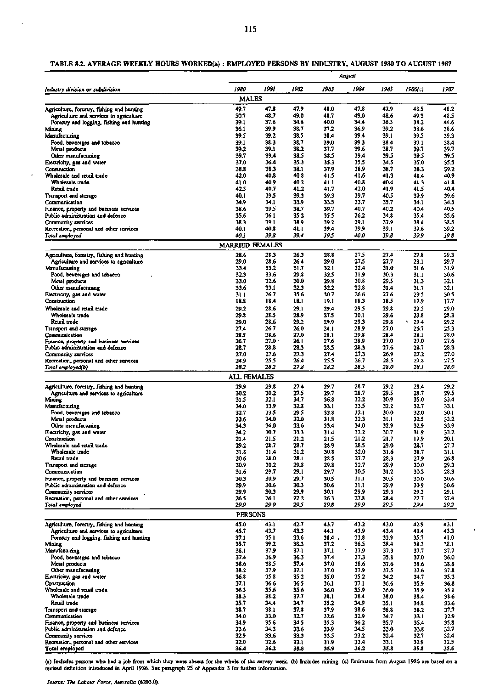|                                                                                      | August                  |              |               |              |              |              |              |              |  |
|--------------------------------------------------------------------------------------|-------------------------|--------------|---------------|--------------|--------------|--------------|--------------|--------------|--|
| Industry division or subdivision                                                     | 1980                    | 1981         | 1982          | 1983         | 1984         | 1985         | 1986(c)      | 1987         |  |
|                                                                                      | <b>MALES</b>            |              |               |              |              |              |              |              |  |
| Agriculture, forestry, fishing and hunting                                           | 49.7                    | 47.8         | 47.9          | 48.0         | 47.8         | 47.9         | 48.5         | 48.2         |  |
| Agriculture and services to agriculture<br>Forestry and logging, fishing and hunting | 50.7<br>39.1            | 48.7<br>37.6 | 49.0<br>34.6  | 48.7<br>40.0 | 49.0<br>34.4 | 48.6<br>36.5 | 49.3<br>38.2 | 48.5<br>44.6 |  |
| Mining                                                                               | 36.1                    | 39.9         | 38.7          | 37.2         | 36.9         | 39.2         | 38.6         | 38.6         |  |
| Manufacturing                                                                        | 39.5                    | 39.2         | 38.5          | 38.4         | 39.4         | 39.1         | 39.5         | 39.3         |  |
| Food, beverages and tobacco                                                          | 39.1                    | 38.3         | 38.7          | 39.0         | 39.3         | 38.4         | 39.1         | 38.4         |  |
| Metal products                                                                       | 39.2                    | 39.1         | 38.2          | 37.7         | 39.6         | 38.7         | 39.7         | 39.7         |  |
| Other manufacturing<br>Electricity, gas and water                                    | 39.7<br>37.0            | 39.4<br>36.4 | 38.S<br>35.3  | 38.5<br>35.3 | 39.4<br>35.5 | 39.5<br>34.5 | 39.5<br>35.0 | 39.5<br>35.5 |  |
| Construction                                                                         | 38.8                    | 38.3         | 38.1          | 37.9         | 38.9         | 38.7         | 38.3         | 39.2         |  |
| Wholesale and retail trade                                                           | 42.0                    | 40.8         | 40.8          | 41.5         | 41.6         | 41.3         | 41.4         | 40.9         |  |
| Wholesale trade                                                                      | 41.0                    | 40.9         | 40.2          | 41.1         | 40.8         | 40.4         | 41.3         | 41.8         |  |
| Retail trade                                                                         | 42.5                    | 40.7         | 41.2          | 41.7         | 42.0         | 41.9         | 41.5         | 40,4         |  |
| Transport and storage<br>Communication                                               | 40.1<br>34.9            | 39.5<br>34.1 | 39.3<br>33.9  | 39.3<br>33.5 | 39.7<br>33.7 | 40.5<br>35.7 | 39.9<br>34.1 | 39.6<br>34.5 |  |
| Finance, property and business services                                              | 38.6                    | 39.5         | 38.7          | 39.7         | 40.7         | 40.2         | 40.4         | 40.5         |  |
| Public administration and defence                                                    | 35.6                    | 36.1         | 35.2          | 35.S         | 36.2         | 34.8         | 35.4         | 35.6         |  |
| Community services                                                                   | 38.3                    | 39.1         | 38.9          | 39.2         | 39.1         | 37,9         | 38.4         | 38.5         |  |
| Recreation, personal and other services                                              | 40.1                    | 40.8         | 41.1          | 39.4         | 39.9         | 39.1         | 39.6         | 39.2         |  |
| Total employed                                                                       | 40.I<br>MARRIED FEMALES | 39.8         | 39.4          | 39,5         | 40.0         | 39 S         | 39.9         | 39 8         |  |
|                                                                                      |                         | 28.3         | 26.3          | 28.8         | 27.5         | 27.4         | 27.8         | 29.3         |  |
| Agriculture, forestry, fishing and hunting<br>Agriculture and services to agnoulture | 28.6<br>29.0            | 28.6         | 26.4          | 29.0         | 27.5         | 27.7         | 28.1         | 29.7         |  |
| Manufacturing                                                                        | 33.4                    | 33.2         | 31.7          | 32.1         | 32.4         | 31.0         | 31 6         | 31.9         |  |
| Food, beverages and tobacco                                                          | 32.3                    | 33.6         | 29.8          | 32.5         | 31.9         | 30.3         | 31.1         | 30.6         |  |
| Metal products                                                                       | 33.0                    | 32.6         | 30.0          | 29.8         | 30.8         | 29.5         | - 31.3       | 32.1         |  |
| Other manufacturing                                                                  | 33.6<br>31.1            | 33.1<br>26.7 | 32.3<br>35.6  | 32.2<br>30.7 | 32.8<br>26.6 | 31.4<br>27.6 | 31.7<br>29.5 | 32.1         |  |
| Electricity, gas and water<br>Construction                                           | 18.8                    | 18.4         | 18.1          | 19.1         | 18.3         | 18.5         | 17.9         | 30.5<br>17.7 |  |
| Wholesale and retail trade                                                           | 29.2                    | 28.6         | 29.1          | 29.4         | 29.5         | 29.8         | 29.5         | 29.0         |  |
| Wholesale trade                                                                      | 29.8                    | 28.5         | 23.9          | 27.5         | 30.1         | 29.6         | 29.8         | 28.3         |  |
| Retail trade                                                                         | 29.0                    | 28.6         | 29.2          | 29.9         | 29.3         | 29.8         | 294<br>٠     | 29.2         |  |
| Transport and storage                                                                | 27.4                    | 26.7         | 26.0          | 24.I         | 28.9         | 27.0         | 26.7         | 25.3         |  |
| Communication                                                                        | 28.8                    | 23.6         | 27.0          | 28.1         | 29.8         | 28.4         | 28.1         | 28.0         |  |
| Finance, property and business services<br>Public administration and defence         | 26.7<br>28.7            | 27.0<br>28.8 | 26. I<br>23.3 | 27.6<br>28.5 | 28.9<br>28.3 | 27.0<br>27.6 | 27.0<br>28.7 | 27.6<br>28.3 |  |
| Community services                                                                   | 27.0                    | 27.6         | 27.3          | 27.4         | 27.3         | 26.9         | 27.2         | 27.0         |  |
| Recreation, personal and other services                                              | 24.9                    | 25.5         | 26.4          | 25.5         | 26.7         | 28.5         | 27.8         | 27.5         |  |
| Total employed(b)                                                                    | 28.2                    | 28.2         | 27.8          | 28.2         | 28.5         | 28.0         | 28.I         | 28.0         |  |
|                                                                                      | ALL FEMALES             |              |               |              |              |              |              |              |  |
| Agriculture, forestry, fishing and hunting                                           | 29.9                    | 29.8         | 27.4          | 29.7         | 28.7         | 29.2         | 28.4         | 29.2         |  |
| Agriculture and services to agriculture                                              | 30.2                    | 30.2         | 27.5          | 29.7         | 28.7         | 29.5         | 28.7         | 29 S         |  |
| Mining                                                                               | 31.5                    | 32.1         | 34.7          | 36.8         | 32.2<br>33.5 | 30.9         | 35.0         | 33.4         |  |
| Manufacturing<br>Food, beverages and tobacco                                         | 34.0<br>32.7            | 33.9<br>33.5 | 32.8<br>29.5  | 33.1<br>32.8 | 32.1         | 32.2<br>30.0 | 32.7<br>32.0 | 33.1<br>30.1 |  |
| Metal products                                                                       | 33.6                    | 34.0         | 32.0          | 31.8         | 32.3         | 1. IE        | 32.5         | 33.2         |  |
| Other manufacturing                                                                  | 34.3                    | 34.0         | 33.6          | 33.4         | 34.0         | 32.9         | 32.9         | 33.9         |  |
| Electricity, gas and water                                                           | 34.2                    | 30.7         | 33.3          | 31.4         | 32.2         | 30.7         | 31.9         | 33.2         |  |
| Construction                                                                         | 21.4                    | 21.5         | 21.2          | 21.5         | 21.2         | 21.7         | 19.9         | 20.1         |  |
| Wholesale and retail trade<br>Wholesale trade                                        | 29.2<br>31.8            | 78.7<br>31.4 | 28.7<br>31.2  | 28.9<br>30.8 | 28.5<br>32.0 | 29.0<br>31.6 | 26.7<br>31.7 | 21.7<br>31.1 |  |
| Retail trade                                                                         | 20.6                    | 28.0         | 28.1          | 28.5         | 27.7         | 28.3         | 27.9         | 26.8         |  |
| Transport and storage                                                                | 30.9                    | 30.2         | 29.8          | 29.8         | 32.7         | 29.9         | 30.0         | 29.3         |  |
| Communication                                                                        | 31.6                    | 29.7         | 29.1          | 29.7         | 30.5         | 31.2         | 30.3         | 28.3         |  |
| Finance, property and business services                                              | 30.3                    | 30.9         | 29.7          | 30.5         | 31.1         | 30.5         | 30.0         | 30.6         |  |
| Public administration and defence<br>Community services                              | 29.9<br>29.9            | 30.6<br>30.3 | 30.3<br>29.9  | 30.6<br>30.1 | 31.1<br>29.9 | 29.9<br>29.3 | 30.9<br>29.3 | 30.6<br>29.1 |  |
| Recreation, personal and other services                                              | 26.5                    | 26.1         | 27.2          | 26.3         | 27.8         | 28.4         | 27.7         | 27.4         |  |
| Total employed                                                                       | 29.9                    | 29.9         | 29 S          | 29.B         | 29.9         | 295          | 29.4         | 29.2         |  |
|                                                                                      | <b>PERSONS</b>          |              |               |              |              |              |              |              |  |
| Agriculture, forestry, fishing and hunting                                           | 45.0                    | 43.1         | 42.7          | 43.7         | 43.2         | 43.0         | 42.9         | 43.1         |  |
| Agriculture and services to agriculture                                              | 45.7                    | 43.7         | 43.3          | 44.1         | 43.9         | 43,4         | 43.4         | 43.3         |  |
| Forestry and logging, fishing and huming                                             | 37.1                    | 35.1         | 33.6          | 38.4.        | 33.8         | 33.9         | 35.7         | 41.0         |  |
| Mining<br>Manufacturing                                                              | 35.7<br>38.1            | 39.2<br>37.9 | 38.3<br>37.1  | 37.2<br>37.1 | 36.5<br>37.9 | 38.4<br>37.3 | 38.3<br>37,7 | 38.1<br>37.7 |  |
| Food, beverages and tobacco                                                          | 37.4                    | 36.9         | 36.3          | 37.4         | 37.3         | 35.8         | 37.0         | 36.0         |  |
| Metal products                                                                       | 38.6                    | 38.5         | 37.A          | 37.0         | 38.6         | 37.6         | 38.6         | 38.8         |  |
| Other manufacturing                                                                  | 38.2                    | 37.9         | 37.1          | 37.0         | 37.9         | 37.5         | 37.6         | 37.8         |  |
| Electricity, gas and water                                                           | 36.8                    | 35.8         | 35.2          | 35.0         | 35.2         | 34.2         | 34.7         | 35.3         |  |
| Construction<br>Wholesale and retail trade                                           | 37.1<br>36.5            | 36.6<br>35.6 | 36.5<br>35.6  | 36.1<br>36.0 | 37.1<br>35.9 | 36.6<br>36.0 | 35.9<br>35.9 | 36.8<br>35.1 |  |
| Wholesale trade                                                                      | 38.3                    | 38.2         | 37.7          | 38.1         | 38.4         | 38.0         | 38.4         | 38.6         |  |
| Retail trado                                                                         | 35.7                    | 34.4         | 34.7          | 35.2         | 34.9         | 35.1         | 34.8         | 33.6         |  |
| Transport and storage                                                                | 38.7                    | 38.1         | 37.8          | 37.9         | 38.6         | 38.8         | 38.2         | 37.7         |  |
| Communication                                                                        | 34.0                    | 33.0         | 32.7          | 32.6         | 32.9         | 34.7         | 33.1         | 32.9         |  |
| Finance, property and business services<br>Public administration and defence         | 34.9<br>33.6            | 35.6<br>34.3 | 34.5<br>33.6  | 35.3<br>33.9 | 36.2<br>34.S | 35.7<br>33.0 | 35.4<br>33.8 | 35.8<br>33.7 |  |
| Community services                                                                   | 32.9                    | 33.6         | 33.3          | 33.5         | 33.2         | 32.4         | 32.7         | 32.4         |  |
| Recreation, personal and other services                                              | 32.0                    | 32.6         | 33.1          | 31.9         | 33.4         | 33.1         | 32.9         | 32.5         |  |
| Total employed                                                                       | 36.4                    | 36.2         | 35.8          | 35.9         | 36.2         | 35.8         | 35.8         | 35.6         |  |

## TABLE 8.2. AVERAGE WEEKLY HOURS WORKED(a) : EMPLOYED PERSONS BY INDUSTRY, AUGUST 1980 TO AUGUST 1987

**(a) Includes persons who had a job from which they were absent for the whole of the survey week, (b) Includes mining, (c) Estimates from August 1986 are based on a revised definition introduced in April 1986. See paragraph 25 of Appendix 3 for further information.** 

*Source: The Labour Force. Australia* **(6203.0).**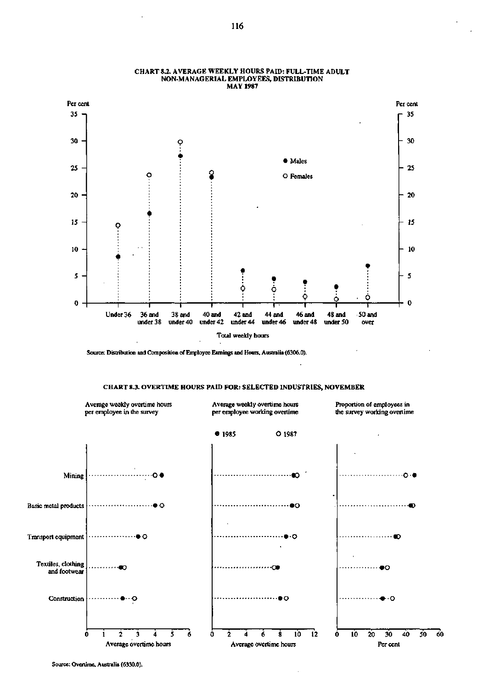

### **CHART 8.2. AVERAGE WEEKLY HOURS PAID: FULL-TIME ADULT NON-MANAGERIAL EMPLOYEES, DISTRIBUTION MAY 1987**

**Source: Distribution and Composition of Employee Earnings and Hours, Australia (6306.0).** 



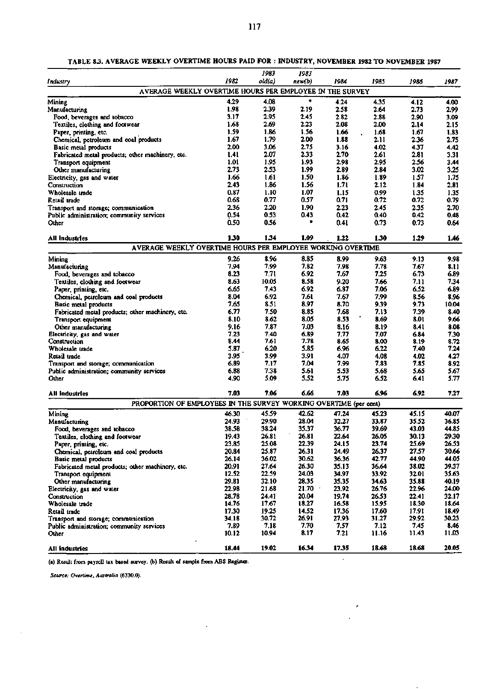|                                                                   |               | 1983          | 1983         |              |               |               |               |
|-------------------------------------------------------------------|---------------|---------------|--------------|--------------|---------------|---------------|---------------|
| Industry                                                          | 1982          | old(a)        | new(b)       | 1984         | 1985          | 1986          | 1987          |
| AVERAGE WEEKLY OVERTIME HOURS PER EMPLOYEE IN THE SURVEY          |               |               |              |              |               |               |               |
|                                                                   | 4.29          | 4.08          | ٠            | 4.24         | 4.35          |               |               |
| Mining<br>Manufacturing                                           | 1.98          | 2.39          | 2.19         | 2.58         | 2.64          | 4.12<br>2.73  | 4.00<br>2.99  |
| Food, beverages and tobacco                                       | 3.17          | 2.95          | 2.45         | 2.82         | 2.88          | 2.90          | 3.09          |
| Textiles, clothing and footwear                                   | 1.68          | 2.69          | 2.23         | 2.08         | 2.00          | 2.14          | 2.15          |
| Paper, printing, etc.                                             | 1.59          | 1.86          | 1.56         | 1.66         | 1.68          | 1.67          | 1.83          |
| Chemical, petroleum and coal products                             | 1.67          | 1.79          | 2.00         | 1.88         | 2.11          | 2.36          | 2.75          |
| Basic metal products                                              | 2.00          | 3.06          | 2.75         | 3.16         | 4.02          | 4.37          | 4.42          |
| Fabricated metal products; other machinery, etc.                  | 1.41          | 2.07          | 2.33         | 2.70         | 2.61          | 2.81          | 3.31          |
| Transport equipment                                               | 1.01          | 1.95          | 1.93         | 2.98         | 2.95          | 2.56          | 3.44          |
| Other manufacturing                                               | 2.73          | 2.53          | 1.99         | 2.89         | 2.84          | 3.02          | 3.25          |
| Electricity, gas and water                                        | 1.66          | 1.61          | 1.50         | 1.86         | 1.89          | 1.57          | 1.75          |
| Construction                                                      | 2.43          | 1.86          | 1.56         | 1.71         | 2.12          | 1.84          | 2.81          |
| Wholesale trade                                                   | 0.87          | 1.10          | 1.07         | 1.15         | 0.99          | 1.35          | 1.35          |
| Retail trade                                                      | 0.68          | 0.77          | 0.57         | 0.71         | 0.72          | 0.72          | 0.79          |
| Transport and storage; communication                              | 2.36          | 2.20          | 1.90         | 2.23         | 2.45          | 2.35          | 2.70          |
| Public administration; community services                         | 0.54          | 0.53          | 0.43         | 0.42         | 0.40          | 0.42          | 0.48          |
| Other                                                             | 0.50          | 0.56          |              | 0.41         | 0.73          | 0.73          | 0.64          |
| All Industries                                                    | 1.30          | 1.34          | 1.09         | 1.22         | 1.30          | 1.29          | 1.46          |
| AVERAGE WEEKLY OVERTIME HOURS PER EMPLOYEE WORKING OVERTIME       |               |               |              |              |               |               |               |
| Mining                                                            | 9.26          | 8.96          | 8.85         | 8.99         | 9.63          | 9.13          | 9.98          |
| Manufacturing                                                     | 7.94          | 7.99          | 7.82         | 7.98         | 7.78          | 7.67          | 8.11          |
| Food, beverages and tobacco                                       | 8.23          | 7.71          | 6.92         | 7.67         | 7.25          | 6.73          | 6.89          |
| Textiles, clothing and footwear                                   | 8.63          | 10.05         | 8.58         | 9.20         | 7.66          | 7.11          | 7.34          |
| Paper, printing, etc.                                             | 6.65          | 7.43          | 6.92         | 6.87         | 7.06          | 6.52          | 6.89          |
| Chemical, petroleum and coal products                             | 8.04          | 6.92          | 7.61         | 7.67         | 7.99          | 8.56          | 8.96          |
| Basic metal products                                              | 7.65          | 8.51          | 8.97         | 8.70         | 9.39          | 9.73          | 10.04         |
| Fabricated metal products; other machinery, etc.                  | 6.77          | 7.50          | 8.85         | 7.68         | 7.13          | 7.39          | 8.40          |
| Transport equipment                                               | 8.10          | 8.62          | 8.05         | 8.53         | 8.69          | 8.01          | 9.66          |
| Other manufacturing                                               | 9.16          | 7.87          | 7.03         | 8.16         | 8.19          | 8.41          | 8.08          |
| Electricity, gas and water                                        | 7.23          | 7.40          | 6.89         | 7.77         | 7.07          | 6.84          | 7.30          |
| Construction<br>Wholesale trade                                   | 8.44<br>5.87  | 7.61<br>6.20  | 7.78<br>5.85 | 8.65<br>6.96 | 8.00<br>6.22  | 8.19<br>7.40  | 8.72<br>7.24  |
| Retail trade                                                      | 3.95          | 3.99          | 3.91         | 4.07         | 4.08          | 4.02          | 4.27          |
| Transport and storage; communication                              | 6.89          | 7.17          | 7.04         | 7.99         | 7.83          | 7.85          | 8.92          |
| Public administration; community services                         | 6.88          | 7.38          | 5.61         | 5.53         | 5.68          | 5.65          | 5.67          |
| Other                                                             | 4.90          | 5.09          | 5.52         | 5.75         | 6.52          | 6.41          | 5.77          |
| All industries                                                    | 7.03          | 7.06          | 6.66         | 7.03         | 6.96          | 6.92          | 7.27          |
| PROPORTION OF EMPLOYEES IN THE SURVEY WORKING OVERTIME (per cent) |               |               |              |              |               |               |               |
| Mining                                                            | 46.30         | 45.59         | 42.62        | 47.24        | 45.23         | 45.15         | 40.07         |
| Manufacturing                                                     | 24.93         | 29.90         | 28.04        | 32.27        | 33.87         | 35.52         | 36.85         |
| Food, beverages and tobacco                                       | 38.58         | 38.24         | 35.37        | 36.77        | 39.69         | 43.03         | 44.85         |
| Textiles, clothing and footwear                                   | 19.43         | 26.81         | 26.81        | 22.64        | 26.05         | 30.13         | 29.30         |
| Paper, printing, etc.                                             | 23.85         | 25.08         | 22.39        | 24.15        | 23.74         | 25.69         | 26.53         |
| Chemical, petroleum and coal products                             | 20.84         | 25.87         | 26.31        | 24.49        | 26.37         | 27.57         | 30.66         |
| Basic metal products                                              | 26.14         | 36.02         | 30.62        | 36.36        | 42.77         | 44.90         | 44.05         |
| Fabricated metal products; other machinery, etc.                  | 20.91         | 27.64         | 26.30        | 35.13        | 36.64         | 38.02         | 39.37         |
| Transport equipment                                               | 12.52         | 22.59         | 24.03        | 34.97        | 33.92         | 32.01         | 35.63         |
| Other manufacturing                                               | 29.81         | 32.10         | 28.35        | 35.35        | 34.63         | 35.88         | 40.19         |
| Electricity, gas and water                                        | 22.98         | 21.68         | 21.70        | 23.92        | 26.76         | 22.96         | 24.00         |
| Construction                                                      | 28.78         | 24.41         | 20.04        | 19.74        | 26.53         | 22.41         | 32.17         |
| Wholesale trade                                                   | 14.76         | 17.67         | 18.27        | 16.58        | 15.95         | 18.30         | 18.64         |
| Retail trade                                                      | 17.30         | 19.25         | 14.52        | 17.36        | 17.60         | 17.91         | 18.49         |
| Transport and storage; communication                              | 34.18         | 30.72         | 26.91        | 27.93        | 31.27         | 29.92         | 30.23         |
| Public administration; community services<br>Other                | 7.89<br>10.12 | 7.18<br>10.94 | 7.70<br>8.17 | 7.57<br>7.21 | 7.12<br>11.16 | 7.45<br>11.43 | 8.46<br>11.03 |
|                                                                   |               |               |              |              |               |               |               |
| All industries                                                    | 18.44         | 19.02         | 16.34        | 17.35        | 18.68         | 18.68         | 20.05         |

×

**TABLE 83. AVERAGE WEEKLY OVERTIME HOURS PAID FOR : INDUSTRY, NOVEMBER 1982 TO NOVEMBER 1987** 

**(a) Result from payroll tax based survey, (b) Result of sample from ABS Register.** 

*Source: Overtime, Australia* **(6330.0).**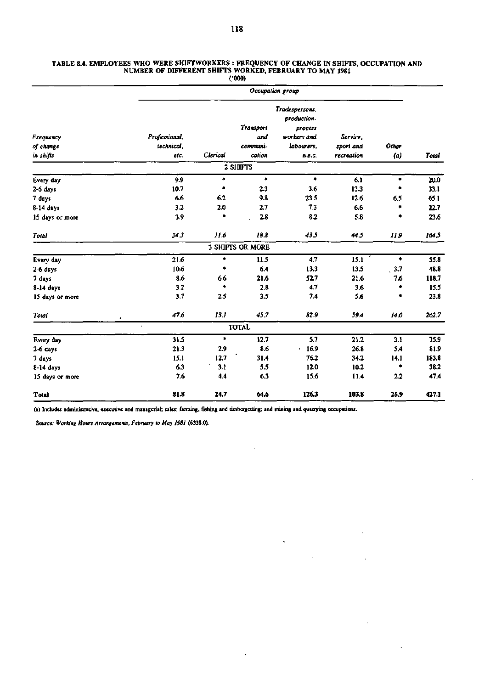|                                     |                                     |          | (7000)                                        |                                                                                 |                                                     |      |       |  |  |  |
|-------------------------------------|-------------------------------------|----------|-----------------------------------------------|---------------------------------------------------------------------------------|-----------------------------------------------------|------|-------|--|--|--|
|                                     | Occupation group                    |          |                                               |                                                                                 |                                                     |      |       |  |  |  |
| Frequency<br>of change<br>in shifts | Professional,<br>technical,<br>etc. | Clerical | <b>Transport</b><br>and<br>communi-<br>cation | Tradespersons,<br>production-<br>process<br>workers and<br>labourers.<br>n.e.c. | Service,<br>Other<br>sport and<br>recreation<br>(a) |      |       |  |  |  |
|                                     |                                     |          | 2 SHIFTS                                      |                                                                                 |                                                     |      |       |  |  |  |
| Every day                           | 9.9                                 | ٠        | ۰                                             | ۰                                                                               | 6.1                                                 | ٠    | 20.0  |  |  |  |
| 2-6 days                            | 10.7                                | *        | 2.3                                           | 3.6                                                                             | 13.3                                                | ۰    | 33.1  |  |  |  |
| 7 days                              | 6.6                                 | 6.2      | 9.8                                           | 23.5                                                                            | 12.6                                                | 6.5  | 65.1  |  |  |  |
| 8-14 days                           | 3.2                                 | 2.0      | 2.7                                           | 7.3                                                                             | 6.6                                                 | ۰    | 22.7  |  |  |  |
| 15 days or more                     | 3.9                                 | ۰        | 2.8                                           | 8.2                                                                             | 5.8                                                 | ۰    | 23.6  |  |  |  |
| Total                               | 343                                 | 11.6     | 18.8                                          | 43.5                                                                            | 445                                                 | 119  | 164.5 |  |  |  |
|                                     |                                     |          | 3 SHIFTS OR MORE                              |                                                                                 |                                                     |      |       |  |  |  |
| Every day                           | 21.6                                | ۰        | 11.5                                          | 4.7                                                                             | 15.1                                                | ۰    | 55.8  |  |  |  |
| 2-6 days                            | 10.6                                | ٠        | 6.4                                           | 13.3                                                                            | 13.5                                                | 3.7  | 48.8  |  |  |  |
| 7 days                              | 8.6                                 | 6.6      | 21.6                                          | 52.7                                                                            | 21.6                                                | 7.6  | 118.7 |  |  |  |
| 8-14 days                           | 3.2                                 | ٠        | 2.8                                           | 4.7                                                                             | 3.6                                                 | ۰    | 15.5  |  |  |  |
| 15 days or more                     | 3.7                                 | 2.5      | 3.5                                           | 7.4                                                                             | 5.6                                                 | ٠    | 23.8  |  |  |  |
| Total                               | 47.6                                | 13.1     | 45.7                                          | 82.9                                                                            | 59.4                                                | 14.0 | 262.7 |  |  |  |
|                                     |                                     |          | <b>TOTAL</b>                                  |                                                                                 |                                                     |      |       |  |  |  |
| Every day                           | 31.5                                | ۰        | 12.7                                          | 5.7                                                                             | 21.2                                                | 3.1  | 75.9  |  |  |  |
| 2-6 days                            | 21.3                                | 2.9      | 8.6                                           | 16.9<br>$\mathbf{u}$                                                            | 26.8                                                | 5.4  | 81.9  |  |  |  |
| 7 days                              | 15.1                                | 12.7     | 31.4                                          | 76.2                                                                            | 34.2                                                | 14.1 | 183.8 |  |  |  |
| 8-14 days                           | 6.3                                 | 3.1      | 5.5                                           | 12.0                                                                            | 10.2                                                | ۰    | 38.2  |  |  |  |
| 15 days or more                     | 7.6                                 | 4.4      | 6.3                                           | 15.6                                                                            | 11.4                                                | 2.2  | 47.4  |  |  |  |
| Total                               | 81.8                                | 24.7     | 64.6                                          | 126.3                                                                           | 103.8                                               | 25.9 | 427.1 |  |  |  |

l,

 $\ddot{\phantom{a}}$ 

 $\ddot{\phantom{0}}$ 

 $\mathcal{A}$ 

J.

 $\bar{1}$ 

## TABLE 8.4. EMPLOYEES WHO WERE SHIFTWORKERS : FREQUENCY OF CHANGE IN SHIFTS, OCCUPATION AND NUMBER OF DIFFERENT SHIFTS WORKED, FEBRUARY TO MAY **1981**

(a) Includes administrative, executive and managerial; sales; farming, fishing and timbergetting; and mining and quanying occupations.

*Source: Working Hours Arrangement, February to May 1981* **(6338.0).**